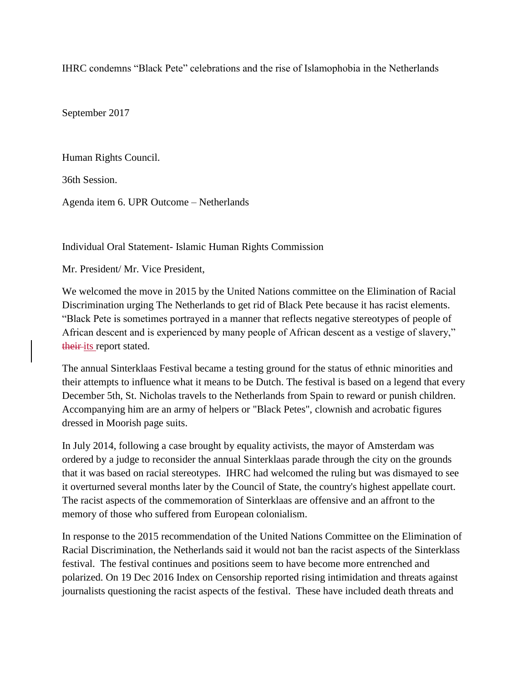IHRC condemns "Black Pete" celebrations and the rise of Islamophobia in the Netherlands

September 2017

Human Rights Council.

36th Session.

Agenda item 6. UPR Outcome – Netherlands

Individual Oral Statement- Islamic Human Rights Commission

Mr. President/ Mr. Vice President,

We welcomed the move in 2015 by the United Nations committee on the Elimination of Racial Discrimination urging The Netherlands to get rid of Black Pete because it has racist elements. "Black Pete is sometimes portrayed in a manner that reflects negative stereotypes of people of African descent and is experienced by many people of African descent as a vestige of slavery," their its report stated.

The annual Sinterklaas Festival became a testing ground for the status of ethnic minorities and their attempts to influence what it means to be Dutch. The festival is based on a legend that every December 5th, St. Nicholas travels to the Netherlands from Spain to reward or punish children. Accompanying him are an army of helpers or "Black Petes", clownish and acrobatic figures dressed in Moorish page suits.

In July 2014, following a case brought by equality activists, the mayor of Amsterdam was ordered by a judge to reconsider the annual Sinterklaas parade through the city on the grounds that it was based on racial stereotypes. IHRC had welcomed the ruling but was dismayed to see it overturned several months later by the Council of State, the country's highest appellate court. The racist aspects of the commemoration of Sinterklaas are offensive and an affront to the memory of those who suffered from European colonialism.

In response to the 2015 recommendation of the United Nations Committee on the Elimination of Racial Discrimination, the Netherlands said it would not ban the racist aspects of the Sinterklass festival. The festival continues and positions seem to have become more entrenched and polarized. On 19 Dec 2016 Index on Censorship reported rising intimidation and threats against journalists questioning the racist aspects of the festival. These have included death threats and